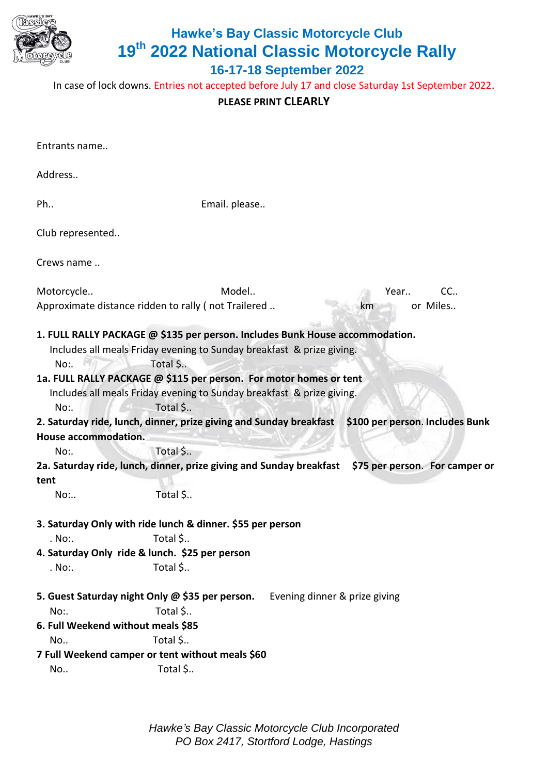

## **Hawke's Bay Classic Motorcycle Club 19th 2022 National Classic Motorcycle Rally**

**16-17-18 September 2022** 

In case of lock downs. Entries not accepted before July 17 and close Saturday 1st September 2022.

## **PLEASE PRINT CLEARLY**

| Entrants name                                   |                                                                                                                                                                                                                                         |                               |      |                                 |
|-------------------------------------------------|-----------------------------------------------------------------------------------------------------------------------------------------------------------------------------------------------------------------------------------------|-------------------------------|------|---------------------------------|
| Address                                         |                                                                                                                                                                                                                                         |                               |      |                                 |
| Ph                                              | Email. please                                                                                                                                                                                                                           |                               |      |                                 |
| Club represented                                |                                                                                                                                                                                                                                         |                               |      |                                 |
| Crews name                                      |                                                                                                                                                                                                                                         |                               |      |                                 |
| Motorcycle                                      | Model                                                                                                                                                                                                                                   |                               | Year | CC                              |
|                                                 | Approximate distance ridden to rally (not Trailered                                                                                                                                                                                     |                               | km   | or Miles                        |
| No:.                                            | 1. FULL RALLY PACKAGE @ \$135 per person. Includes Bunk House accommodation.<br>Includes all meals Friday evening to Sunday breakfast & prize giving.<br>Total \$<br>1a. FULL RALLY PACKAGE @ \$115 per person. For motor homes or tent |                               |      |                                 |
| No:                                             | Includes all meals Friday evening to Sunday breakfast & prize giving.<br>Total \$                                                                                                                                                       |                               |      |                                 |
|                                                 | 2. Saturday ride, lunch, dinner, prize giving and Sunday breakfast                                                                                                                                                                      |                               |      | \$100 per person. Includes Bunk |
| House accommodation.                            |                                                                                                                                                                                                                                         |                               |      |                                 |
| No:.                                            | Total \$                                                                                                                                                                                                                                |                               |      |                                 |
|                                                 | 2a. Saturday ride, lunch, dinner, prize giving and Sunday breakfast                                                                                                                                                                     |                               |      | \$75 per person. For camper or  |
| tent                                            |                                                                                                                                                                                                                                         |                               |      |                                 |
| No:                                             | Total \$                                                                                                                                                                                                                                |                               |      |                                 |
|                                                 | 3. Saturday Only with ride lunch & dinner. \$55 per person                                                                                                                                                                              |                               |      |                                 |
| . No:.                                          | Total \$                                                                                                                                                                                                                                |                               |      |                                 |
| 4. Saturday Only ride & lunch. \$25 per person  |                                                                                                                                                                                                                                         |                               |      |                                 |
| . No:.                                          | Total \$                                                                                                                                                                                                                                |                               |      |                                 |
| 5. Guest Saturday night Only @ \$35 per person. |                                                                                                                                                                                                                                         | Evening dinner & prize giving |      |                                 |
| No:.                                            | Total \$                                                                                                                                                                                                                                |                               |      |                                 |
| 6. Full Weekend without meals \$85              |                                                                                                                                                                                                                                         |                               |      |                                 |
| No                                              | Total \$                                                                                                                                                                                                                                |                               |      |                                 |
|                                                 | 7 Full Weekend camper or tent without meals \$60                                                                                                                                                                                        |                               |      |                                 |
| No                                              | Total \$                                                                                                                                                                                                                                |                               |      |                                 |

*Hawke's Bay Classic Motorcycle Club Incorporated PO Box 2417, Stortford Lodge, Hastings*